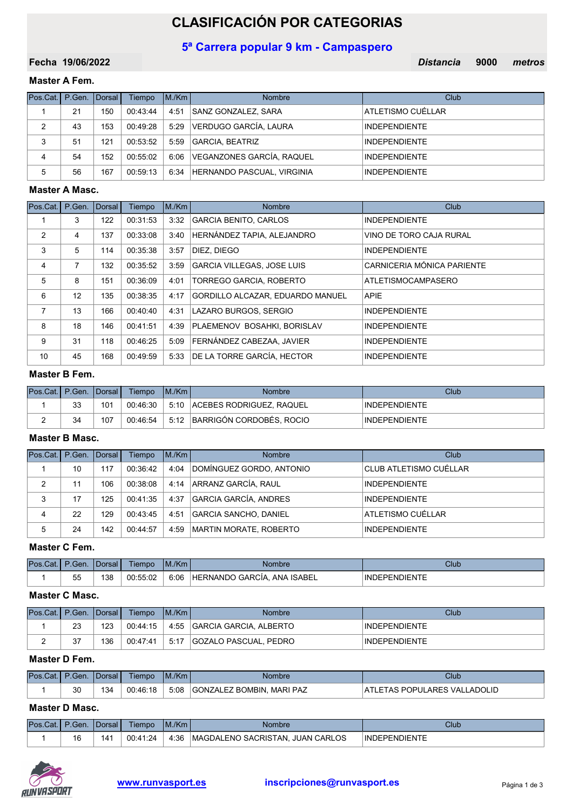# CLASIFICACIÓN POR CATEGORIAS

# 5ª Carrera popular 9 km - Campaspero

19/06/2022 Distancia 9000 Fecha 19/06/2022 **March 2008** The Contract of Contract Contract Contract Contract Contract Contract Contract Contract Contract Contract Contract Contract Contract Contract Contract Contract Contract Contract Contract Contr

# Master A Fem.

| Pos.Cat.   P.Gen.   Dorsal |    |     | Tiempo   | IM/Km | <b>Nombre</b>                   | Club                 |
|----------------------------|----|-----|----------|-------|---------------------------------|----------------------|
|                            | 21 | 150 | 00:43:44 | 4:51  | SANZ GONZALEZ, SARA             | ATLETISMO CUÉLLAR    |
| 2                          | 43 | 153 | 00:49:28 | 5:29  | VERDUGO GARCÍA, LAURA           | <b>INDEPENDIENTE</b> |
| 3                          | 51 | 121 | 00:53:52 | 5:59  | GARCIA, BEATRIZ                 | <b>INDEPENDIENTE</b> |
| 4                          | 54 | 152 | 00:55:02 |       | 6:06 VEGANZONES GARCÍA, RAQUEL  | <b>INDEPENDIENTE</b> |
| 5                          | 56 | 167 | 00:59:13 |       | 6:34 HERNANDO PASCUAL, VIRGINIA | <b>INDEPENDIENTE</b> |

#### Master A Masc.

| Pos.Cat. | P.Gen. | Dorsal | Tiempo   | M/Km | <b>Nombre</b>                    | Club                       |
|----------|--------|--------|----------|------|----------------------------------|----------------------------|
|          | 3      | 122    | 00:31:53 | 3:32 | GARCIA BENITO, CARLOS            | <b>INDEPENDIENTE</b>       |
| 2        | 4      | 137    | 00:33:08 | 3:40 | HERNÁNDEZ TAPIA, ALEJANDRO       | VINO DE TORO CAJA RURAL    |
| 3        | 5      | 114    | 00:35:38 | 3:57 | DIEZ. DIEGO                      | <b>INDEPENDIENTE</b>       |
| 4        | 7      | 132    | 00:35:52 | 3:59 | GARCIA VILLEGAS, JOSE LUIS       | CARNICERIA MÓNICA PARIENTE |
| 5        | 8      | 151    | 00:36:09 | 4:01 | TORREGO GARCIA, ROBERTO          | ATLETISMOCAMPASERO         |
| 6        | 12     | 135    | 00:38:35 | 4:17 | GORDILLO ALCAZAR, EDUARDO MANUEL | <b>APIE</b>                |
| 7        | 13     | 166    | 00:40:40 | 4:31 | LAZARO BURGOS, SERGIO            | <b>INDEPENDIENTE</b>       |
| 8        | 18     | 146    | 00:41:51 | 4:39 | PLAEMENOV BOSAHKI, BORISLAV      | <b>INDEPENDIENTE</b>       |
| 9        | 31     | 118    | 00:46:25 | 5:09 | FERNÁNDEZ CABEZAA, JAVIER        | <b>INDEPENDIENTE</b>       |
| 10       | 45     | 168    | 00:49:59 | 5:33 | DE LA TORRE GARCÍA, HECTOR       | <b>INDEPENDIENTE</b>       |

#### Master B Fem.

| Pos.Cat.I P.Gen. IDorsal I |          |     | <b>Tiempo</b> | IM/Km | <b>Nombre</b>            | Club                 |
|----------------------------|----------|-----|---------------|-------|--------------------------|----------------------|
|                            | っっ<br>ບບ | 101 | 00:46:30      | 5:10  | ACEBES RODRIGUEZ, RAQUEL | <b>INDEPENDIENTE</b> |
|                            | 34       | 107 | 00:46:54      | 5:12  | BARRIGÓN CORDOBÉS, ROCIO | <b>INDEPENDIENTE</b> |

# Master B Masc.

| Pos.Cat. | P.Gen. | <b>I</b> Dorsal I | Tiempo   | IM/Km | <b>Nombre</b>            | Club                   |
|----------|--------|-------------------|----------|-------|--------------------------|------------------------|
|          | 10     | 117               | 00:36:42 | 4:04  | DOMÍNGUEZ GORDO, ANTONIO | CLUB ATLETISMO CUÉLLAR |
| 2        | 11     | 106               | 00:38:08 |       | 4:14 ARRANZ GARCÍA, RAUL | <b>INDEPENDIENTE</b>   |
| 3        | 17     | 125               | 00:41:35 | 4:37  | GARCIA GARCÍA, ANDRES    | <b>INDEPENDIENTE</b>   |
| 4        | 22     | 129               | 00:43:45 | 4:51  | GARCIA SANCHO, DANIEL    | ATLETISMO CUÉLLAR      |
| 5        | 24     | 142               | 00:44:57 | 4:59  | MARTIN MORATE, ROBERTO   | <b>INDEPENDIENTE</b>   |

#### Master C Fem.

| Pos.<br>.Cat. | P.Gen.    | Dorsal | Tiempo   | M/Km | Nombre                                    | Club                 |
|---------------|-----------|--------|----------|------|-------------------------------------------|----------------------|
|               | 55<br>ູບປ | 138    | 00:55:02 | 6:06 | ANA ISABEL<br>`GARCIA.<br><b>HERNANDO</b> | <b>INDEPENDIENTE</b> |

#### Master C Masc.

| Pos.Cat.   P.Gen.   Dorsal |    |     | Tiempo   | IM/Km | Nombre                       | Club                 |
|----------------------------|----|-----|----------|-------|------------------------------|----------------------|
|                            | 23 | 123 | 00:44:15 |       | 4:55 GARCIA GARCIA, ALBERTO  | <b>INDEPENDIENTE</b> |
|                            | 27 | 136 | 00:47:41 | 5:17  | <b>GOZALO PASCUAL, PEDRO</b> | <b>INDEPENDIENTE</b> |

#### Master D Fem.

| Pos.Cat.   P.Gen.   Dorsal |                |     | <b>Tiempo</b> | M/Km | Nombre                                | Club                         |
|----------------------------|----------------|-----|---------------|------|---------------------------------------|------------------------------|
|                            | $\Omega$<br>JU | 134 | 00:46:18      | 5:08 | <b>GONZALEZ BOMBIN.</b><br>. MARI PAZ | ATLETAS POPULARES VALLADOLID |

#### Master D Masc.

| Pos.Cat. | P.Gen.    | <b>I</b> Dorsal I | Tiempo   | M./Km | <b>Nombre</b>                    | Club          |
|----------|-----------|-------------------|----------|-------|----------------------------------|---------------|
|          | 1 C<br>10 | 141               | 00:41:24 | 4:36  | MAGDALENO SACRISTAN. JUAN CARLOS | INDEPENDIENTE |

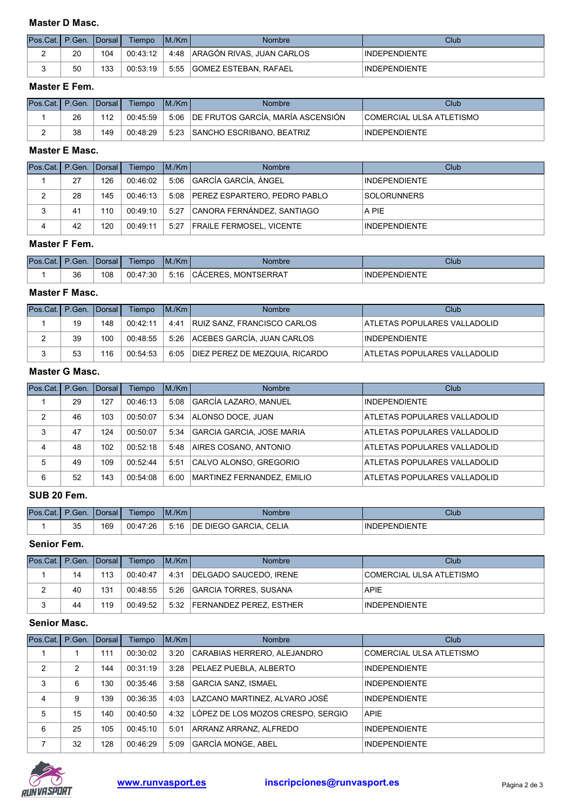#### Master D Masc.

| Pos.Cat.   P.Gen.   Dorsal |    |     | Tiempo   | IM/Km | <b>Nombre</b>              | Club                 |
|----------------------------|----|-----|----------|-------|----------------------------|----------------------|
|                            | 20 | 104 | 00:43:12 | 4:48  | ARAGÓN RIVAS, JUAN CARLOS  | <b>INDEPENDIENTE</b> |
|                            | 50 | 133 | 00:53:19 |       | 5:55 GOMEZ ESTEBAN, RAFAEL | <b>INDEPENDIENTE</b> |

#### Master E Fem.

| IPos.Cat.I P.Gen. IDorsal I |    |     | Tiempo   | IM/Km | <b>Nombre</b>                          | Club                            |
|-----------------------------|----|-----|----------|-------|----------------------------------------|---------------------------------|
|                             | 26 | 112 | 00:45:59 |       | 5:06 DE FRUTOS GARCÍA, MARÍA ASCENSIÓN | <b>COMERCIAL ULSA ATLETISMO</b> |
|                             | 38 | 149 | 00:48:29 | 5:23  | <b>SANCHO ESCRIBANO, BEATRIZ</b>       | <b>INDEPENDIENTE</b>            |

#### Master E Masc.

| Pos.Cat.   P.Gen.   Dorsal |    |     | Tiempo   | IM/Km | <b>Nombre</b>                     | Club                 |
|----------------------------|----|-----|----------|-------|-----------------------------------|----------------------|
|                            | 27 | 126 | 00:46:02 |       | 5:06 GARCÍA GARCÍA. ÁNGEL         | <b>INDEPENDIENTE</b> |
| 2                          | 28 | 145 | 00:46:13 |       | 5:08 PEREZ ESPARTERO, PEDRO PABLO | <b>SOLORUNNERS</b>   |
|                            | 41 | 110 | 00.49.10 | 5:27  | CANORA FERNÁNDEZ, SANTIAGO        | A PIE                |
| 4                          | 42 | 120 | 00:49:11 |       | 5:27 FRAILE FERMOSEL, VICENTE     | <b>INDEPENDIENTE</b> |

#### Master F Fem.

| Pos.<br>.Cat | Gen. | TDorsal | --<br>Tiempo  | M/Km | <b>Nombre</b>                                            | Club                      |
|--------------|------|---------|---------------|------|----------------------------------------------------------|---------------------------|
|              | 36   | 108     | 47:30<br>00.4 | 5:16 | <b><i>ISERRAT</i></b><br>:ERES<br><b>MON</b><br>$\Delta$ | NIENTE<br><b>INDEPEND</b> |

#### Master F Masc.

| IPos.Cat.I P.Gen. IDorsal I |    |     | Tiempo   | IM/Km | Nombre                                | Club                         |
|-----------------------------|----|-----|----------|-------|---------------------------------------|------------------------------|
|                             | 19 | 148 | 00:42:11 | 4:41  | <b>RUIZ SANZ, FRANCISCO CARLOS</b>    | ATLETAS POPULARES VALLADOLID |
| ∼                           | 39 | 100 | 00:48:55 |       | 5:26 ACEBES GARCÍA, JUAN CARLOS       | <b>INDEPENDIENTE</b>         |
|                             | 53 | 116 | 00:54:53 |       | 6:05   DIEZ PEREZ DE MEZQUIA, RICARDO | ATLETAS POPULARES VALLADOLID |

#### Master G Masc.

| Pos.Cat. | P.Gen. Dorsal |     | Tiempo   | IM/Km | <b>Nombre</b>              | Club                         |
|----------|---------------|-----|----------|-------|----------------------------|------------------------------|
|          | 29            | 127 | 00:46:13 | 5:08  | GARCÍA LAZARO, MANUEL      | <b>INDEPENDIENTE</b>         |
| 2        | 46            | 103 | 00:50:07 | 5:34  | ALONSO DOCE, JUAN          | ATLETAS POPULARES VALLADOLID |
| 3        | 47            | 124 | 00:50:07 | 5:34  | GARCIA GARCIA, JOSE MARIA  | ATLETAS POPULARES VALLADOLID |
| 4        | 48            | 102 | 00:52:18 | 5:48  | AIRES COSANO, ANTONIO      | ATLETAS POPULARES VALLADOLID |
| 5        | 49            | 109 | 00:52:44 | 5:51  | CALVO ALONSO, GREGORIO     | ATLETAS POPULARES VALLADOLID |
| 6        | 52            | 143 | 00:54:08 | 6:00  | MARTINEZ FERNANDEZ. EMILIO | ATLETAS POPULARES VALLADOLID |

#### SUB 20 Fem.

| Pos.Cat.I | P.Gen.   | <b>IDorsal</b> | Tiempo   | M/Km | Nombre                                          | Club                |
|-----------|----------|----------------|----------|------|-------------------------------------------------|---------------------|
|           | つに<br>ບບ | 169            | 00:47:26 | 5:16 | <b>CELIA</b><br><b>DIEGO</b><br>) GARCIA.<br>DE | DEPENDIENTE<br>'INL |

# Senior Fem.

| Pos.Cat.   P.Gen.   Dorsal |    |     | Tiempo   | IM/Km | <b>Nombre</b>                  | Club                     |
|----------------------------|----|-----|----------|-------|--------------------------------|--------------------------|
|                            | 14 | 113 | 00:40:47 | 4:31  | <b>IDELGADO SAUCEDO. IRENE</b> | COMERCIAL ULSA ATLETISMO |
| _                          | 40 | 131 | 00:48:55 |       | 5:26 GARCIA TORRES, SUSANA     | <b>APIE</b>              |
|                            | 44 | 119 | 00:49:52 |       | 5:32 FERNANDEZ PEREZ. ESTHER   | <b>INDEPENDIENTE</b>     |

# Senior Masc.

| Pos.Cat. | P.Gen. Dorsal  |     | Tiempo   | IM/Km | <b>Nombre</b>                     | Club                     |
|----------|----------------|-----|----------|-------|-----------------------------------|--------------------------|
|          |                | 111 | 00:30:02 | 3:20  | CARABIAS HERRERO, ALEJANDRO       | COMERCIAL ULSA ATLETISMO |
| 2        | $\mathfrak{p}$ | 144 | 00:31:19 | 3:28  | PELAEZ PUEBLA, ALBERTO            | <b>INDEPENDIENTE</b>     |
| 3        | 6              | 130 | 00:35:46 | 3:58  | GARCIA SANZ, ISMAEL               | <b>INDEPENDIENTE</b>     |
| 4        | 9              | 139 | 00:36:35 | 4:03  | LAZCANO MARTINEZ. ALVARO JOSÉ     | <b>INDEPENDIENTE</b>     |
| 5        | 15             | 140 | 00:40:50 | 4:32  | LÓPEZ DE LOS MOZOS CRESPO, SERGIO | <b>APIE</b>              |
| 6        | 25             | 105 | 00:45:10 | 5:01  | ARRANZ ARRANZ, ALFREDO            | <b>INDEPENDIENTE</b>     |
|          | 32             | 128 | 00:46:29 | 5:09  | <b>GARCÍA MONGE, ABEL</b>         | <b>INDEPENDIENTE</b>     |